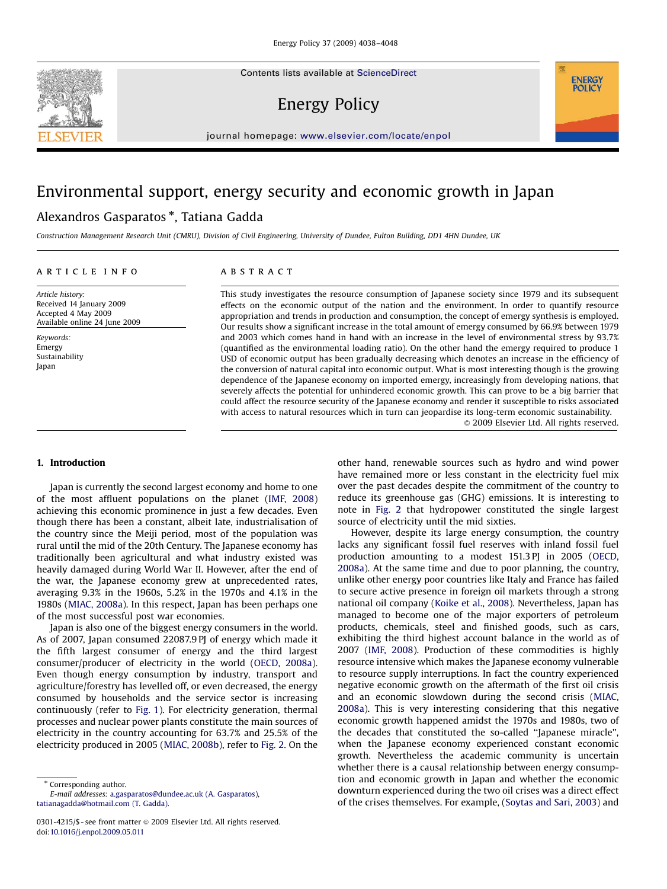Contents lists available at [ScienceDirect](www.sciencedirect.com/science/journal/jepo)

# Energy Policy



## Environmental support, energy security and economic growth in Japan

## .<br>Alexandros Gasparatos \*, Tatiana Gadda

Construction Management Research Unit (CMRU), Division of Civil Engineering, University of Dundee, Fulton Building, DD1 4HN Dundee, UK

#### article info

Article history: Received 14 January 2009 Accepted 4 May 2009 Available online 24 June 2009

Keywords: Emergy Sustainability Japan

### **ABSTRACT**

This study investigates the resource consumption of Japanese society since 1979 and its subsequent effects on the economic output of the nation and the environment. In order to quantify resource appropriation and trends in production and consumption, the concept of emergy synthesis is employed. Our results show a significant increase in the total amount of emergy consumed by 66.9% between 1979 and 2003 which comes hand in hand with an increase in the level of environmental stress by 93.7% (quantified as the environmental loading ratio). On the other hand the emergy required to produce 1 USD of economic output has been gradually decreasing which denotes an increase in the efficiency of the conversion of natural capital into economic output. What is most interesting though is the growing dependence of the Japanese economy on imported emergy, increasingly from developing nations, that severely affects the potential for unhindered economic growth. This can prove to be a big barrier that could affect the resource security of the Japanese economy and render it susceptible to risks associated with access to natural resources which in turn can jeopardise its long-term economic sustainability.  $© 2009$  Elsevier Ltd. All rights reserved.

### 1. Introduction

Japan is currently the second largest economy and home to one of the most affluent populations on the planet ([IMF, 2008\)](#page--1-0) achieving this economic prominence in just a few decades. Even though there has been a constant, albeit late, industrialisation of the country since the Meiji period, most of the population was rural until the mid of the 20th Century. The Japanese economy has traditionally been agricultural and what industry existed was heavily damaged during World War II. However, after the end of the war, the Japanese economy grew at unprecedented rates, averaging 9.3% in the 1960s, 5.2% in the 1970s and 4.1% in the 1980s ([MIAC, 2008a\)](#page--1-0). In this respect, Japan has been perhaps one of the most successful post war economies.

Japan is also one of the biggest energy consumers in the world. As of 2007, Japan consumed 22087.9 PJ of energy which made it the fifth largest consumer of energy and the third largest consumer/producer of electricity in the world ([OECD, 2008a\)](#page--1-0). Even though energy consumption by industry, transport and agriculture/forestry has levelled off, or even decreased, the energy consumed by households and the service sector is increasing continuously (refer to [Fig. 1](#page-1-0)). For electricity generation, thermal processes and nuclear power plants constitute the main sources of electricity in the country accounting for 63.7% and 25.5% of the electricity produced in 2005 [\(MIAC, 2008b](#page--1-0)), refer to [Fig. 2.](#page-1-0) On the

\* Corresponding author.

E-mail addresses: [a.gasparatos@dundee.ac.uk \(A. Gasparatos\)](mailto:a.gasparatos@dundee.ac.uk), [tatianagadda@hotmail.com \(T. Gadda\).](mailto:tatianagadda@hotmail.com)

other hand, renewable sources such as hydro and wind power have remained more or less constant in the electricity fuel mix over the past decades despite the commitment of the country to reduce its greenhouse gas (GHG) emissions. It is interesting to note in [Fig. 2](#page-1-0) that hydropower constituted the single largest source of electricity until the mid sixties.

**ENERGY** POLICY

However, despite its large energy consumption, the country lacks any significant fossil fuel reserves with inland fossil fuel production amounting to a modest 151.3 PJ in 2005 [\(OECD,](#page--1-0) [2008a](#page--1-0)). At the same time and due to poor planning, the country, unlike other energy poor countries like Italy and France has failed to secure active presence in foreign oil markets through a strong national oil company [\(Koike et al., 2008\)](#page--1-0). Nevertheless, Japan has managed to become one of the major exporters of petroleum products, chemicals, steel and finished goods, such as cars, exhibiting the third highest account balance in the world as of 2007 ([IMF, 2008](#page--1-0)). Production of these commodities is highly resource intensive which makes the Japanese economy vulnerable to resource supply interruptions. In fact the country experienced negative economic growth on the aftermath of the first oil crisis and an economic slowdown during the second crisis [\(MIAC,](#page--1-0) [2008a](#page--1-0)). This is very interesting considering that this negative economic growth happened amidst the 1970s and 1980s, two of the decades that constituted the so-called ''Japanese miracle'', when the Japanese economy experienced constant economic growth. Nevertheless the academic community is uncertain whether there is a causal relationship between energy consumption and economic growth in Japan and whether the economic downturn experienced during the two oil crises was a direct effect of the crises themselves. For example, ([Soytas and Sari, 2003](#page--1-0)) and



<sup>0301-4215/\$ -</sup> see front matter  $\odot$  2009 Elsevier Ltd. All rights reserved. doi:[10.1016/j.enpol.2009.05.011](dx.doi.org/10.1016/j.enpol.2009.05.011)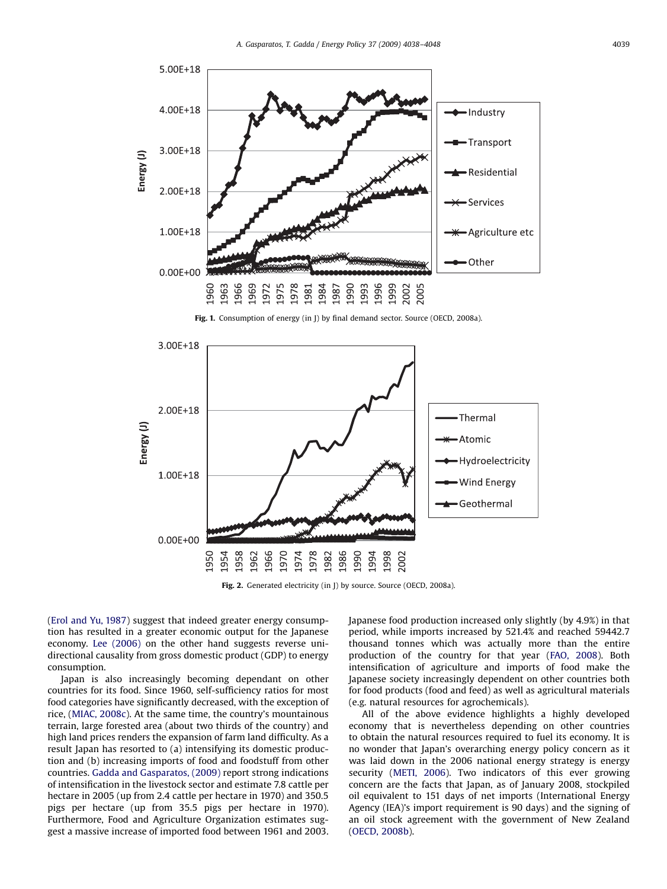<span id="page-1-0"></span>

Fig. 1. Consumption of energy (in J) by final demand sector. Source [\(OECD, 2008a\)](#page--1-0).



Fig. 2. Generated electricity (in J) by source. Source ([OECD, 2008a\)](#page--1-0).

([Erol and Yu, 1987\)](#page--1-0) suggest that indeed greater energy consumption has resulted in a greater economic output for the Japanese economy. [Lee \(2006\)](#page--1-0) on the other hand suggests reverse unidirectional causality from gross domestic product (GDP) to energy consumption.

Japan is also increasingly becoming dependant on other countries for its food. Since 1960, self-sufficiency ratios for most food categories have significantly decreased, with the exception of rice, [\(MIAC, 2008c\)](#page--1-0). At the same time, the country's mountainous terrain, large forested area (about two thirds of the country) and high land prices renders the expansion of farm land difficulty. As a result Japan has resorted to (a) intensifying its domestic production and (b) increasing imports of food and foodstuff from other countries. [Gadda and Gasparatos, \(2009\)](#page--1-0) report strong indications of intensification in the livestock sector and estimate 7.8 cattle per hectare in 2005 (up from 2.4 cattle per hectare in 1970) and 350.5 pigs per hectare (up from 35.5 pigs per hectare in 1970). Furthermore, Food and Agriculture Organization estimates suggest a massive increase of imported food between 1961 and 2003.

Japanese food production increased only slightly (by 4.9%) in that period, while imports increased by 521.4% and reached 59442.7 thousand tonnes which was actually more than the entire production of the country for that year [\(FAO, 2008\)](#page--1-0). Both intensification of agriculture and imports of food make the Japanese society increasingly dependent on other countries both for food products (food and feed) as well as agricultural materials (e.g. natural resources for agrochemicals).

All of the above evidence highlights a highly developed economy that is nevertheless depending on other countries to obtain the natural resources required to fuel its economy. It is no wonder that Japan's overarching energy policy concern as it was laid down in the 2006 national energy strategy is energy security [\(METI, 2006](#page--1-0)). Two indicators of this ever growing concern are the facts that Japan, as of January 2008, stockpiled oil equivalent to 151 days of net imports (International Energy Agency (IEA)'s import requirement is 90 days) and the signing of an oil stock agreement with the government of New Zealand ([OECD, 2008b](#page--1-0)).